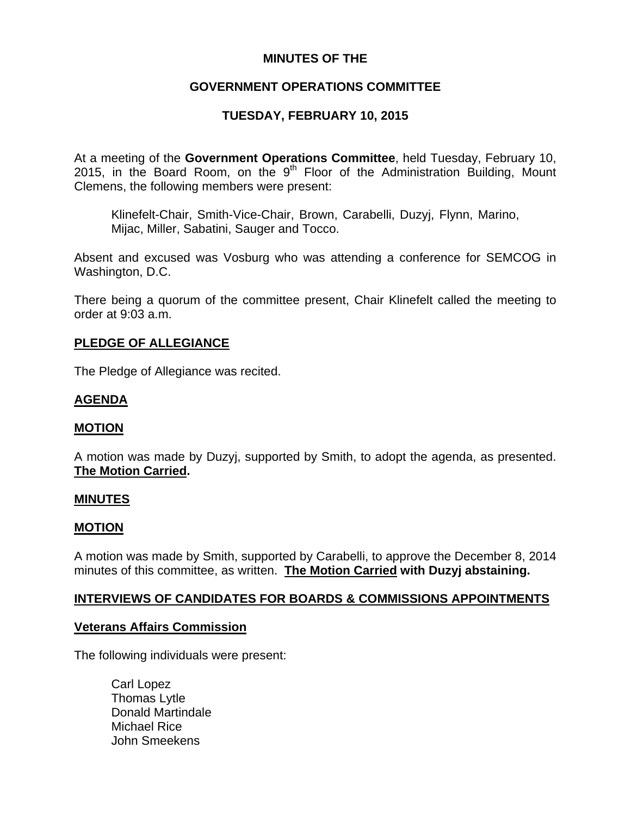## **MINUTES OF THE**

# **GOVERNMENT OPERATIONS COMMITTEE**

# **TUESDAY, FEBRUARY 10, 2015**

At a meeting of the **Government Operations Committee**, held Tuesday, February 10, 2015, in the Board Room, on the  $9<sup>th</sup>$  Floor of the Administration Building, Mount Clemens, the following members were present:

Klinefelt-Chair, Smith-Vice-Chair, Brown, Carabelli, Duzyj, Flynn, Marino, Mijac, Miller, Sabatini, Sauger and Tocco.

Absent and excused was Vosburg who was attending a conference for SEMCOG in Washington, D.C.

There being a quorum of the committee present, Chair Klinefelt called the meeting to order at 9:03 a.m.

### **PLEDGE OF ALLEGIANCE**

The Pledge of Allegiance was recited.

## **AGENDA**

### **MOTION**

A motion was made by Duzyj, supported by Smith, to adopt the agenda, as presented. **The Motion Carried.** 

### **MINUTES**

### **MOTION**

A motion was made by Smith, supported by Carabelli, to approve the December 8, 2014 minutes of this committee, as written. **The Motion Carried with Duzyj abstaining.** 

### **INTERVIEWS OF CANDIDATES FOR BOARDS & COMMISSIONS APPOINTMENTS**

### **Veterans Affairs Commission**

The following individuals were present:

Carl Lopez Thomas Lytle Donald Martindale Michael Rice John Smeekens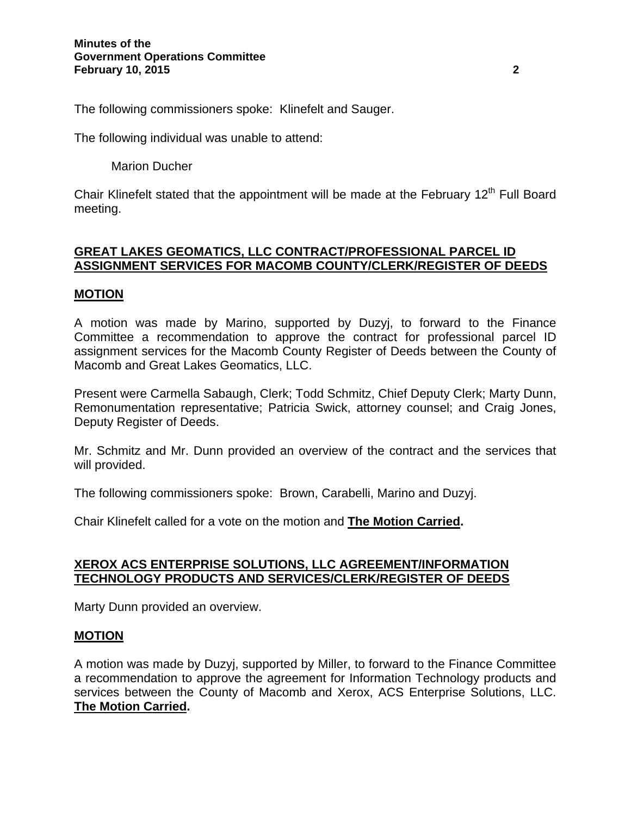The following commissioners spoke: Klinefelt and Sauger.

The following individual was unable to attend:

Marion Ducher

Chair Klinefelt stated that the appointment will be made at the February  $12<sup>th</sup>$  Full Board meeting.

## **GREAT LAKES GEOMATICS, LLC CONTRACT/PROFESSIONAL PARCEL ID ASSIGNMENT SERVICES FOR MACOMB COUNTY/CLERK/REGISTER OF DEEDS**

## **MOTION**

A motion was made by Marino, supported by Duzyj, to forward to the Finance Committee a recommendation to approve the contract for professional parcel ID assignment services for the Macomb County Register of Deeds between the County of Macomb and Great Lakes Geomatics, LLC.

Present were Carmella Sabaugh, Clerk; Todd Schmitz, Chief Deputy Clerk; Marty Dunn, Remonumentation representative; Patricia Swick, attorney counsel; and Craig Jones, Deputy Register of Deeds.

Mr. Schmitz and Mr. Dunn provided an overview of the contract and the services that will provided.

The following commissioners spoke: Brown, Carabelli, Marino and Duzyj.

Chair Klinefelt called for a vote on the motion and **The Motion Carried.**

### **XEROX ACS ENTERPRISE SOLUTIONS, LLC AGREEMENT/INFORMATION TECHNOLOGY PRODUCTS AND SERVICES/CLERK/REGISTER OF DEEDS**

Marty Dunn provided an overview.

### **MOTION**

A motion was made by Duzyj, supported by Miller, to forward to the Finance Committee a recommendation to approve the agreement for Information Technology products and services between the County of Macomb and Xerox, ACS Enterprise Solutions, LLC. **The Motion Carried.**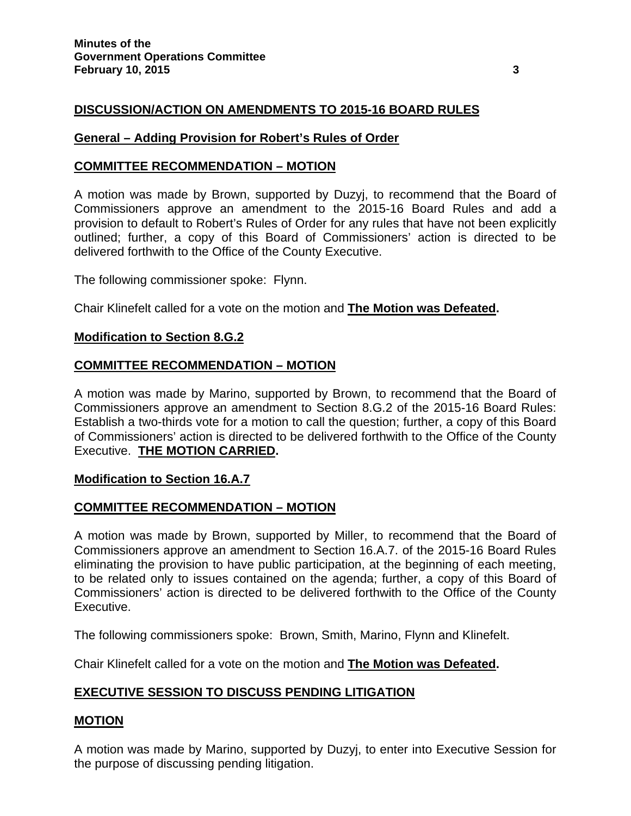## **DISCUSSION/ACTION ON AMENDMENTS TO 2015-16 BOARD RULES**

### **General – Adding Provision for Robert's Rules of Order**

#### **COMMITTEE RECOMMENDATION – MOTION**

A motion was made by Brown, supported by Duzyj, to recommend that the Board of Commissioners approve an amendment to the 2015-16 Board Rules and add a provision to default to Robert's Rules of Order for any rules that have not been explicitly outlined; further, a copy of this Board of Commissioners' action is directed to be delivered forthwith to the Office of the County Executive.

The following commissioner spoke: Flynn.

Chair Klinefelt called for a vote on the motion and **The Motion was Defeated.**

#### **Modification to Section 8.G.2**

### **COMMITTEE RECOMMENDATION – MOTION**

A motion was made by Marino, supported by Brown, to recommend that the Board of Commissioners approve an amendment to Section 8.G.2 of the 2015-16 Board Rules: Establish a two-thirds vote for a motion to call the question; further, a copy of this Board of Commissioners' action is directed to be delivered forthwith to the Office of the County Executive. **THE MOTION CARRIED.** 

### **Modification to Section 16.A.7**

### **COMMITTEE RECOMMENDATION – MOTION**

A motion was made by Brown, supported by Miller, to recommend that the Board of Commissioners approve an amendment to Section 16.A.7. of the 2015-16 Board Rules eliminating the provision to have public participation, at the beginning of each meeting, to be related only to issues contained on the agenda; further, a copy of this Board of Commissioners' action is directed to be delivered forthwith to the Office of the County Executive.

The following commissioners spoke: Brown, Smith, Marino, Flynn and Klinefelt.

Chair Klinefelt called for a vote on the motion and **The Motion was Defeated.** 

## **EXECUTIVE SESSION TO DISCUSS PENDING LITIGATION**

### **MOTION**

A motion was made by Marino, supported by Duzyj, to enter into Executive Session for the purpose of discussing pending litigation.